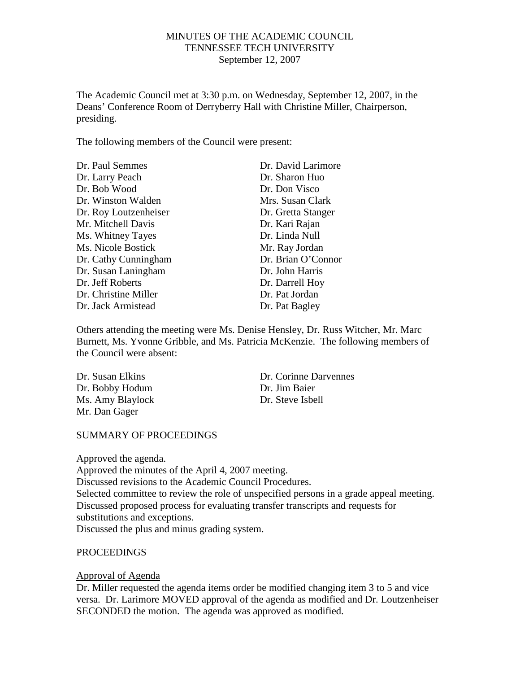#### MINUTES OF THE ACADEMIC COUNCIL TENNESSEE TECH UNIVERSITY September 12, 2007

The Academic Council met at 3:30 p.m. on Wednesday, September 12, 2007, in the Deans' Conference Room of Derryberry Hall with Christine Miller, Chairperson, presiding.

The following members of the Council were present:

| Dr. Paul Semmes           | Dr. David Larimore |
|---------------------------|--------------------|
| Dr. Larry Peach           | Dr. Sharon Huo     |
| Dr. Bob Wood              | Dr. Don Visco      |
| Dr. Winston Walden        | Mrs. Susan Clark   |
| Dr. Roy Loutzenheiser     | Dr. Gretta Stanger |
| Mr. Mitchell Davis        | Dr. Kari Rajan     |
| Ms. Whitney Tayes         | Dr. Linda Null     |
| <b>Ms. Nicole Bostick</b> | Mr. Ray Jordan     |
| Dr. Cathy Cunningham      | Dr. Brian O'Connor |
| Dr. Susan Laningham       | Dr. John Harris    |
| Dr. Jeff Roberts          | Dr. Darrell Hoy    |
| Dr. Christine Miller      | Dr. Pat Jordan     |
| Dr. Jack Armistead        | Dr. Pat Bagley     |

Others attending the meeting were Ms. Denise Hensley, Dr. Russ Witcher, Mr. Marc Burnett, Ms. Yvonne Gribble, and Ms. Patricia McKenzie. The following members of the Council were absent:

Dr. Bobby Hodum Dr. Jim Baier Ms. Amy Blaylock Dr. Steve Isbell Mr. Dan Gager

Dr. Susan Elkins Dr. Corinne Darvennes

#### SUMMARY OF PROCEEDINGS

Approved the agenda.

Approved the minutes of the April 4, 2007 meeting. Discussed revisions to the Academic Council Procedures. Selected committee to review the role of unspecified persons in a grade appeal meeting. Discussed proposed process for evaluating transfer transcripts and requests for substitutions and exceptions. Discussed the plus and minus grading system.

#### PROCEEDINGS

#### Approval of Agenda

Dr. Miller requested the agenda items order be modified changing item 3 to 5 and vice versa. Dr. Larimore MOVED approval of the agenda as modified and Dr. Loutzenheiser SECONDED the motion. The agenda was approved as modified.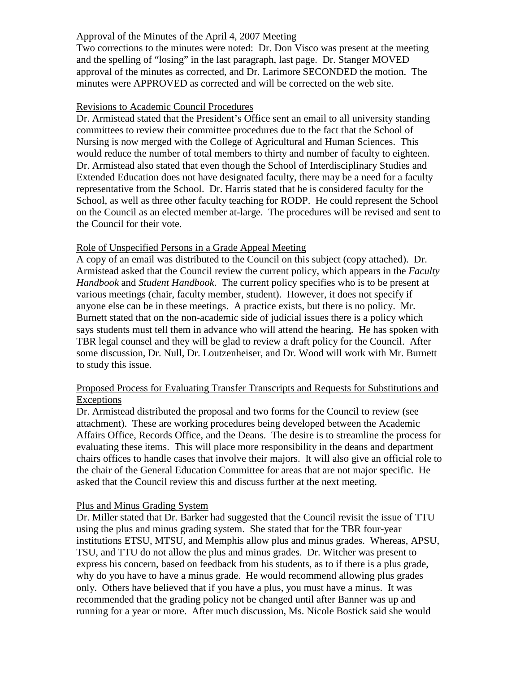# Approval of the Minutes of the April 4, 2007 Meeting

Two corrections to the minutes were noted: Dr. Don Visco was present at the meeting and the spelling of "losing" in the last paragraph, last page. Dr. Stanger MOVED approval of the minutes as corrected, and Dr. Larimore SECONDED the motion. The minutes were APPROVED as corrected and will be corrected on the web site.

#### Revisions to Academic Council Procedures

Dr. Armistead stated that the President's Office sent an email to all university standing committees to review their committee procedures due to the fact that the School of Nursing is now merged with the College of Agricultural and Human Sciences. This would reduce the number of total members to thirty and number of faculty to eighteen. Dr. Armistead also stated that even though the School of Interdisciplinary Studies and Extended Education does not have designated faculty, there may be a need for a faculty representative from the School. Dr. Harris stated that he is considered faculty for the School, as well as three other faculty teaching for RODP. He could represent the School on the Council as an elected member at-large. The procedures will be revised and sent to the Council for their vote.

#### Role of Unspecified Persons in a Grade Appeal Meeting

A copy of an email was distributed to the Council on this subject (copy attached). Dr. Armistead asked that the Council review the current policy, which appears in the *Faculty Handbook* and *Student Handbook*. The current policy specifies who is to be present at various meetings (chair, faculty member, student). However, it does not specify if anyone else can be in these meetings. A practice exists, but there is no policy. Mr. Burnett stated that on the non-academic side of judicial issues there is a policy which says students must tell them in advance who will attend the hearing. He has spoken with TBR legal counsel and they will be glad to review a draft policy for the Council. After some discussion, Dr. Null, Dr. Loutzenheiser, and Dr. Wood will work with Mr. Burnett to study this issue.

## Proposed Process for Evaluating Transfer Transcripts and Requests for Substitutions and Exceptions

Dr. Armistead distributed the proposal and two forms for the Council to review (see attachment). These are working procedures being developed between the Academic Affairs Office, Records Office, and the Deans. The desire is to streamline the process for evaluating these items. This will place more responsibility in the deans and department chairs offices to handle cases that involve their majors. It will also give an official role to the chair of the General Education Committee for areas that are not major specific. He asked that the Council review this and discuss further at the next meeting.

#### Plus and Minus Grading System

Dr. Miller stated that Dr. Barker had suggested that the Council revisit the issue of TTU using the plus and minus grading system. She stated that for the TBR four-year institutions ETSU, MTSU, and Memphis allow plus and minus grades. Whereas, APSU, TSU, and TTU do not allow the plus and minus grades. Dr. Witcher was present to express his concern, based on feedback from his students, as to if there is a plus grade, why do you have to have a minus grade. He would recommend allowing plus grades only. Others have believed that if you have a plus, you must have a minus. It was recommended that the grading policy not be changed until after Banner was up and running for a year or more. After much discussion, Ms. Nicole Bostick said she would